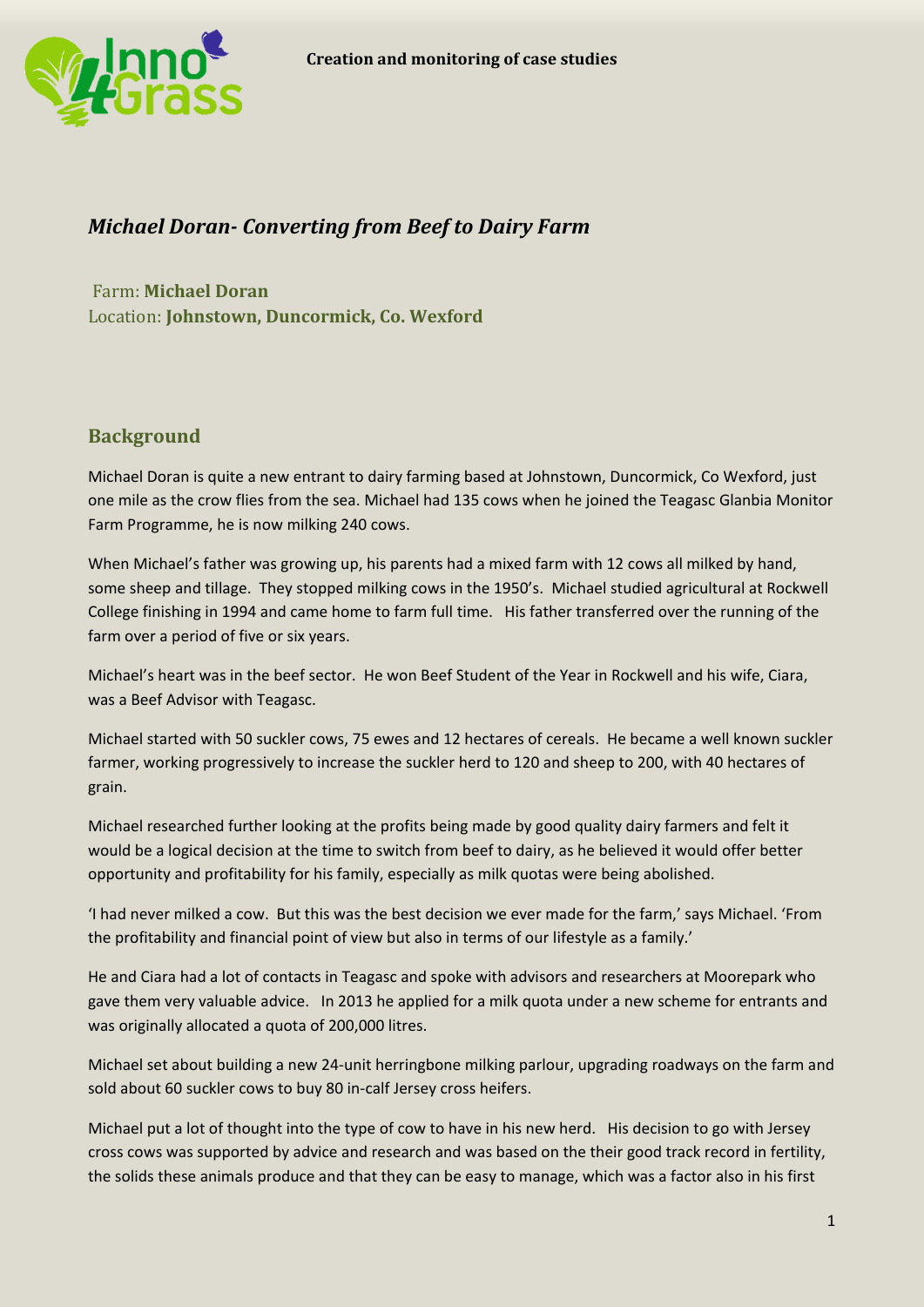

# *Michael Doran- Converting from Beef to Dairy Farm*

Farm: **Michael Doran** Location: **Johnstown, Duncormick, Co. Wexford**

## **Background**

Michael Doran is quite a new entrant to dairy farming based at Johnstown, Duncormick, Co Wexford, just one mile as the crow flies from the sea. Michael had 135 cows when he joined the Teagasc Glanbia Monitor Farm Programme, he is now milking 240 cows.

When Michael's father was growing up, his parents had a mixed farm with 12 cows all milked by hand, some sheep and tillage. They stopped milking cows in the 1950's. Michael studied agricultural at Rockwell College finishing in 1994 and came home to farm full time. His father transferred over the running of the farm over a period of five or six years.

Michael's heart was in the beef sector. He won Beef Student of the Year in Rockwell and his wife, Ciara, was a Beef Advisor with Teagasc.

Michael started with 50 suckler cows, 75 ewes and 12 hectares of cereals. He became a well known suckler farmer, working progressively to increase the suckler herd to 120 and sheep to 200, with 40 hectares of grain.

Michael researched further looking at the profits being made by good quality dairy farmers and felt it would be a logical decision at the time to switch from beef to dairy, as he believed it would offer better opportunity and profitability for his family, especially as milk quotas were being abolished.

'I had never milked a cow. But this was the best decision we ever made for the farm,' says Michael. 'From the profitability and financial point of view but also in terms of our lifestyle as a family.'

He and Ciara had a lot of contacts in Teagasc and spoke with advisors and researchers at Moorepark who gave them very valuable advice. In 2013 he applied for a milk quota under a new scheme for entrants and was originally allocated a quota of 200,000 litres.

Michael set about building a new 24-unit herringbone milking parlour, upgrading roadways on the farm and sold about 60 suckler cows to buy 80 in-calf Jersey cross heifers.

Michael put a lot of thought into the type of cow to have in his new herd. His decision to go with Jersey cross cows was supported by advice and research and was based on the their good track record in fertility, the solids these animals produce and that they can be easy to manage, which was a factor also in his first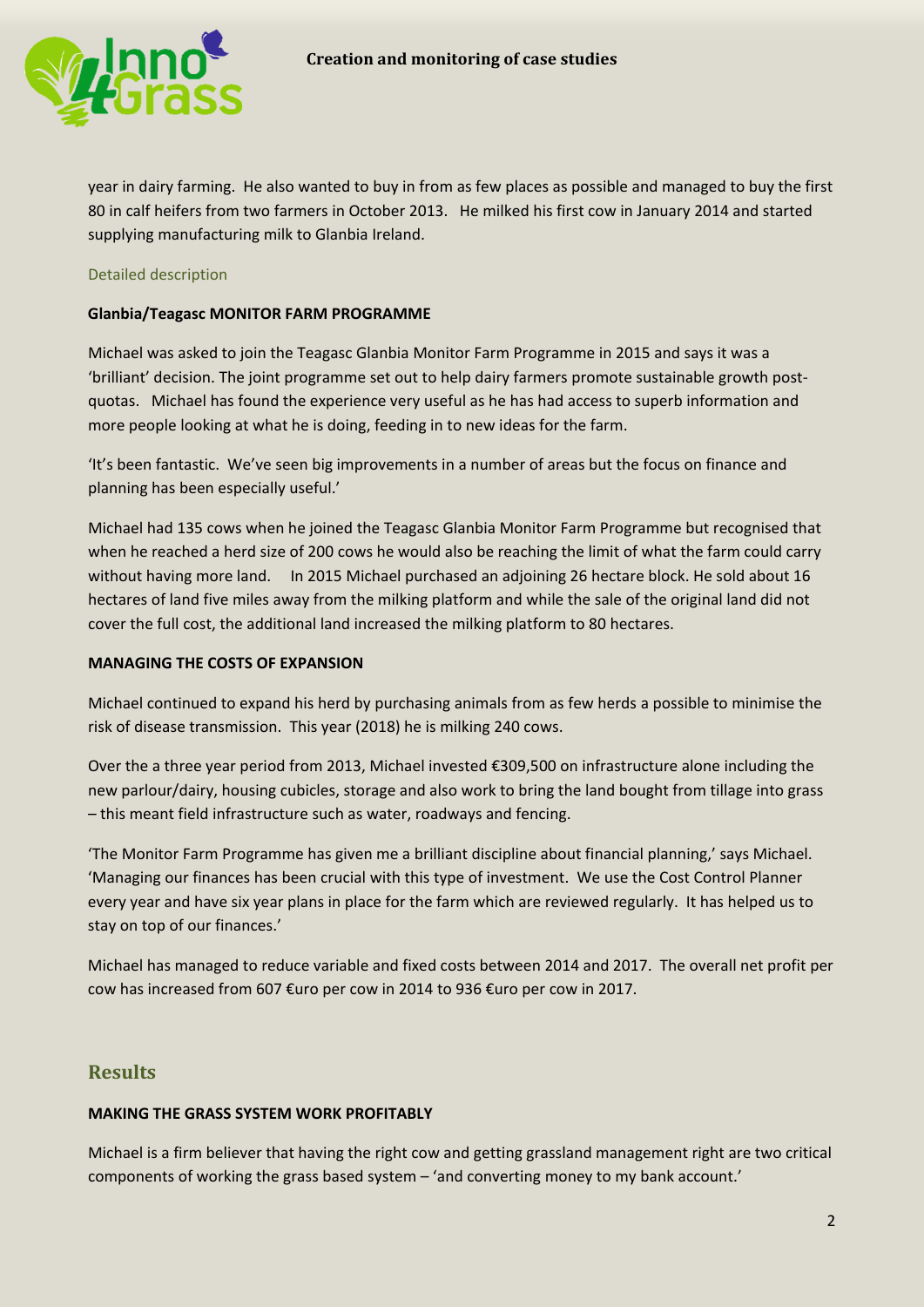

year in dairy farming. He also wanted to buy in from as few places as possible and managed to buy the first 80 in calf heifers from two farmers in October 2013. He milked his first cow in January 2014 and started supplying manufacturing milk to Glanbia Ireland.

#### Detailed description

#### **Glanbia/Teagasc MONITOR FARM PROGRAMME**

Michael was asked to join the Teagasc Glanbia Monitor Farm Programme in 2015 and says it was a 'brilliant' decision. The joint programme set out to help dairy farmers promote sustainable growth postquotas. Michael has found the experience very useful as he has had access to superb information and more people looking at what he is doing, feeding in to new ideas for the farm.

'It's been fantastic. We've seen big improvements in a number of areas but the focus on finance and planning has been especially useful.'

Michael had 135 cows when he joined the Teagasc Glanbia Monitor Farm Programme but recognised that when he reached a herd size of 200 cows he would also be reaching the limit of what the farm could carry without having more land. In 2015 Michael purchased an adjoining 26 hectare block. He sold about 16 hectares of land five miles away from the milking platform and while the sale of the original land did not cover the full cost, the additional land increased the milking platform to 80 hectares.

#### **MANAGING THE COSTS OF EXPANSION**

Michael continued to expand his herd by purchasing animals from as few herds a possible to minimise the risk of disease transmission. This year (2018) he is milking 240 cows.

Over the a three year period from 2013, Michael invested €309,500 on infrastructure alone including the new parlour/dairy, housing cubicles, storage and also work to bring the land bought from tillage into grass – this meant field infrastructure such as water, roadways and fencing.

'The Monitor Farm Programme has given me a brilliant discipline about financial planning,' says Michael. 'Managing our finances has been crucial with this type of investment. We use the Cost Control Planner every year and have six year plans in place for the farm which are reviewed regularly. It has helped us to stay on top of our finances.'

Michael has managed to reduce variable and fixed costs between 2014 and 2017. The overall net profit per cow has increased from 607 €uro per cow in 2014 to 936 €uro per cow in 2017.

### **Results**

#### **MAKING THE GRASS SYSTEM WORK PROFITABLY**

Michael is a firm believer that having the right cow and getting grassland management right are two critical components of working the grass based system – 'and converting money to my bank account.'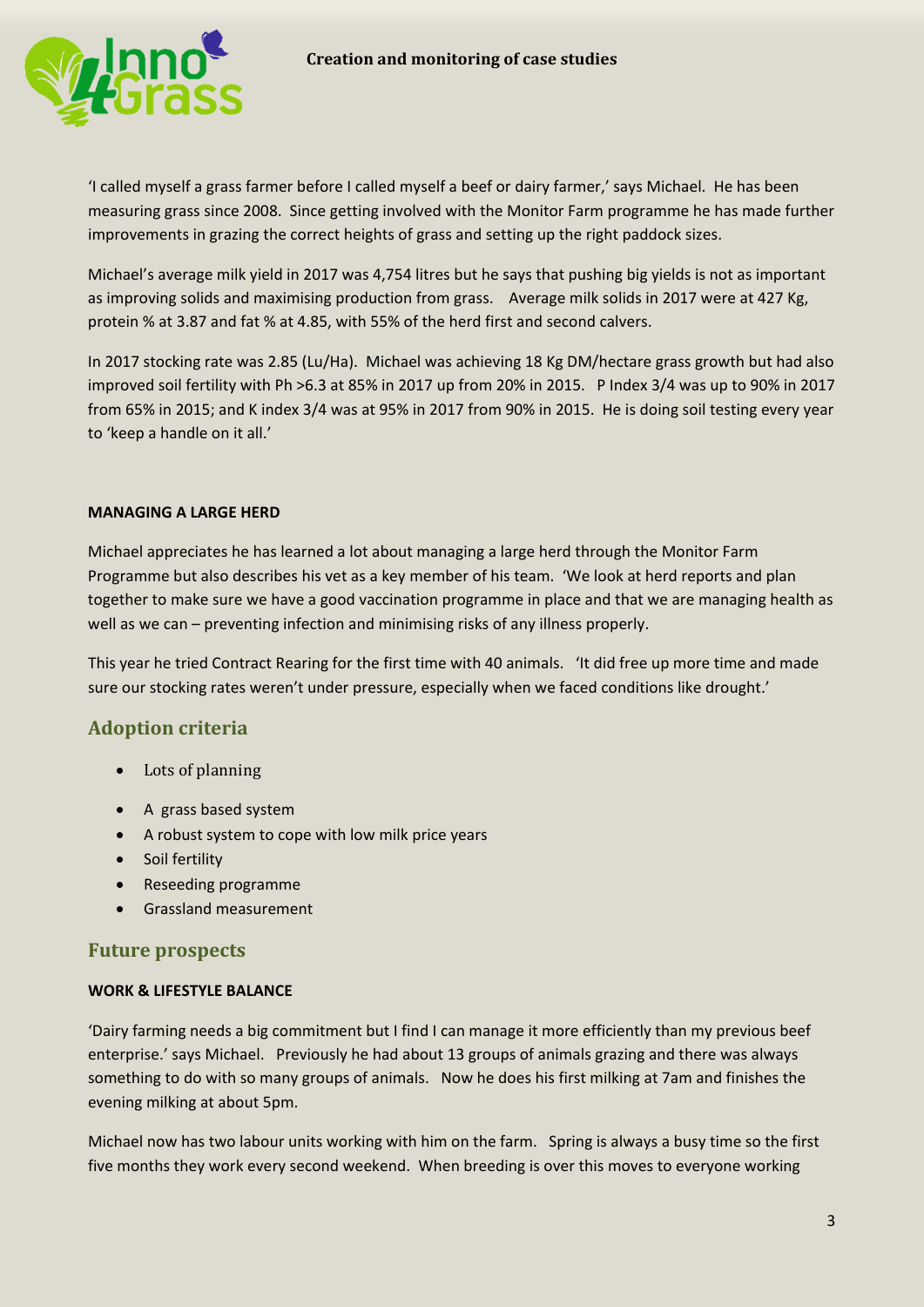

'I called myself a grass farmer before I called myself a beef or dairy farmer,' says Michael. He has been measuring grass since 2008. Since getting involved with the Monitor Farm programme he has made further improvements in grazing the correct heights of grass and setting up the right paddock sizes.

Michael's average milk yield in 2017 was 4,754 litres but he says that pushing big yields is not as important as improving solids and maximising production from grass. Average milk solids in 2017 were at 427 Kg, protein % at 3.87 and fat % at 4.85, with 55% of the herd first and second calvers.

In 2017 stocking rate was 2.85 (Lu/Ha). Michael was achieving 18 Kg DM/hectare grass growth but had also improved soil fertility with Ph >6.3 at 85% in 2017 up from 20% in 2015. P Index 3/4 was up to 90% in 2017 from 65% in 2015; and K index 3/4 was at 95% in 2017 from 90% in 2015. He is doing soil testing every year to 'keep a handle on it all.'

#### **MANAGING A LARGE HERD**

Michael appreciates he has learned a lot about managing a large herd through the Monitor Farm Programme but also describes his vet as a key member of his team. 'We look at herd reports and plan together to make sure we have a good vaccination programme in place and that we are managing health as well as we can – preventing infection and minimising risks of any illness properly.

This year he tried Contract Rearing for the first time with 40 animals. 'It did free up more time and made sure our stocking rates weren't under pressure, especially when we faced conditions like drought.'

### **Adoption criteria**

- Lots of planning
- A grass based system
- A robust system to cope with low milk price years
- Soil fertility
- Reseeding programme
- Grassland measurement

#### **Future prospects**

#### **WORK & LIFESTYLE BALANCE**

'Dairy farming needs a big commitment but I find I can manage it more efficiently than my previous beef enterprise.' says Michael. Previously he had about 13 groups of animals grazing and there was always something to do with so many groups of animals. Now he does his first milking at 7am and finishes the evening milking at about 5pm.

Michael now has two labour units working with him on the farm. Spring is always a busy time so the first five months they work every second weekend. When breeding is over this moves to everyone working